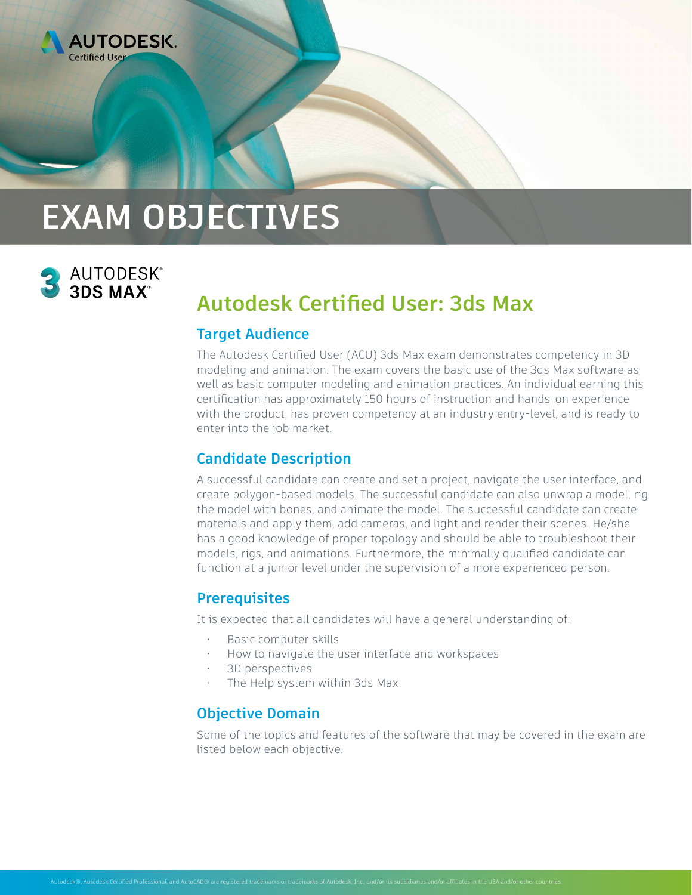

# **EXAM OBJECTIVES**

### **AUTODESK® 3DS MAX<sup>®</sup>**

## **Autodesk Certified User: 3ds Max**

#### **Target Audience**

The Autodesk Certified User (ACU) 3ds Max exam demonstrates competency in 3D modeling and animation. The exam covers the basic use of the 3ds Max software as well as basic computer modeling and animation practices. An individual earning this certification has approximately 150 hours of instruction and hands-on experience with the product, has proven competency at an industry entry-level, and is ready to enter into the job market.

#### **Candidate Description**

A successful candidate can create and set a project, navigate the user interface, and create polygon-based models. The successful candidate can also unwrap a model, rig the model with bones, and animate the model. The successful candidate can create materials and apply them, add cameras, and light and render their scenes. He/she has a good knowledge of proper topology and should be able to troubleshoot their models, rigs, and animations. Furthermore, the minimally qualified candidate can function at a junior level under the supervision of a more experienced person.

#### **Prerequisites**

It is expected that all candidates will have a general understanding of:

- Basic computer skills
- How to navigate the user interface and workspaces
- 3D perspectives
- The Help system within 3ds Max

#### **Objective Domain**

Some of the topics and features of the software that may be covered in the exam are listed below each objective.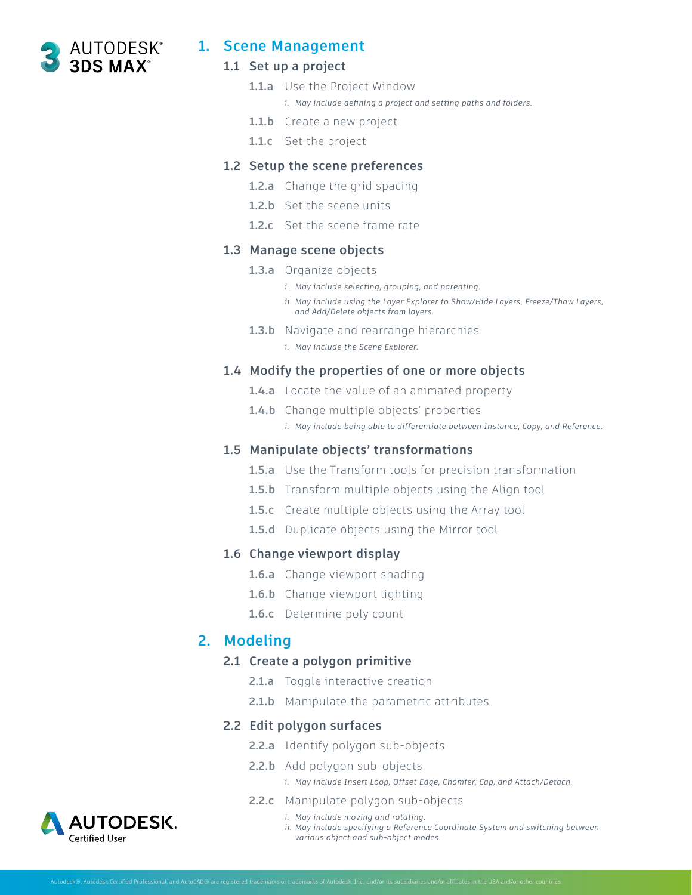

#### **1. Scene Management**

#### **1.1 Set up a project**

- **1.1.a** Use the Project Window *i. May include defining a project and setting paths and folders.*
- **1.1.b** Create a new project
- **1.1.c** Set the project

#### **1.2 Setup the scene preferences**

- **1.2.a** Change the grid spacing
- **1.2.b** Set the scene units
- **1.2.c** Set the scene frame rate

#### **1.3 Manage scene objects**

- **1.3.a** Organize objects
	- *i. May include selecting, grouping, and parenting.*
	- *ii. May include using the Layer Explorer to Show/Hide Layers, Freeze/Thaw Layers, and Add/Delete objects from layers.*
- **1.3.b** Navigate and rearrange hierarchies
	- *i. May include the Scene Explorer.*

#### **1.4 Modify the properties of one or more objects**

- **1.4.a** Locate the value of an animated property
- **1.4.b** Change multiple objects' properties *i. May include being able to differentiate between Instance, Copy, and Reference.*

#### **1.5 Manipulate objects' transformations**

- **1.5.a** Use the Transform tools for precision transformation
- **1.5.b** Transform multiple objects using the Align tool
- **1.5.c** Create multiple objects using the Array tool
- **1.5.d** Duplicate objects using the Mirror tool

#### **1.6 Change viewport display**

- **1.6.a** Change viewport shading
- **1.6.b** Change viewport lighting
- **1.6.c** Determine poly count

#### **2. Modeling**

#### **2.1 Create a polygon primitive**

- **2.1.a** Toggle interactive creation
- **2.1.b** Manipulate the parametric attributes

#### **2.2 Edit polygon surfaces**

- **2.2.a** Identify polygon sub-objects
- **2.2.b** Add polygon sub-objects
	- *i. May include Insert Loop, Offset Edge, Chamfer, Cap, and Attach/Detach.*
- **2.2.c** Manipulate polygon sub-objects
- *i. May include moving and rotating.*
	- *ii. May include specifying a Reference Coordinate System and switching between various object and sub-object modes.*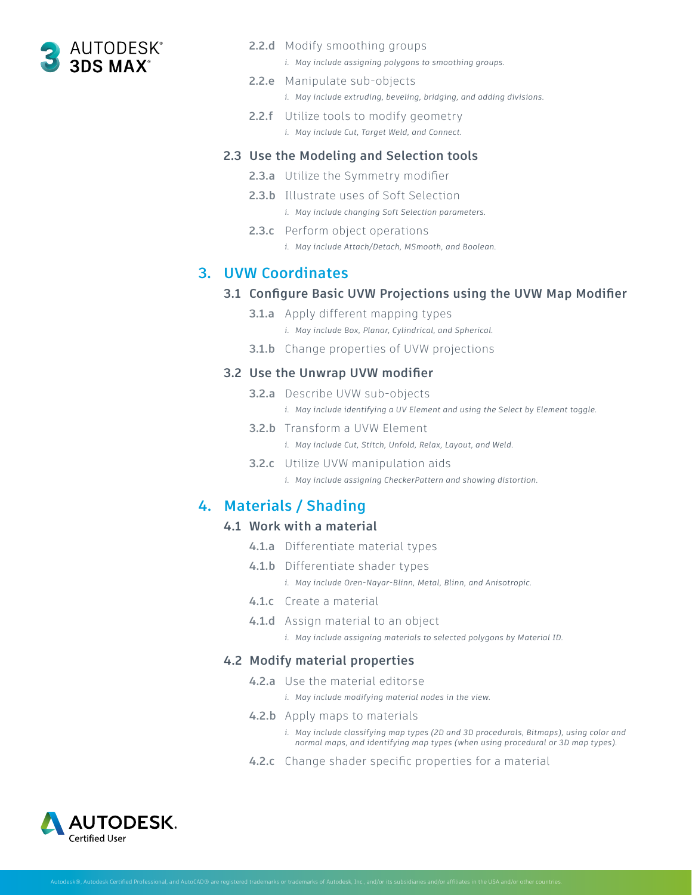

**2.2.d** Modify smoothing groups

*i. May include assigning polygons to smoothing groups.*

- **2.2.e** Manipulate sub-objects *i. May include extruding, beveling, bridging, and adding divisions.*
- **2.2.f** Utilize tools to modify geometry *i. May include Cut, Target Weld, and Connect.*

#### **2.3 Use the Modeling and Selection tools**

- **2.3.a** Utilize the Symmetry modifier
- **2.3.b** Illustrate uses of Soft Selection

*i. May include changing Soft Selection parameters.*

**2.3.c** Perform object operations *i. May include Attach/Detach, MSmooth, and Boolean.*

#### **3. UVW Coordinates**

#### **3.1 Configure Basic UVW Projections using the UVW Map Modifier**

- **3.1.a** Apply different mapping types *i. May include Box, Planar, Cylindrical, and Spherical.*
- **3.1.b** Change properties of UVW projections

#### **3.2 Use the Unwrap UVW modifier**

- **3.2.a** Describe UVW sub-objects *i. May include identifying a UV Element and using the Select by Element toggle.*
- **3.2.b** Transform a UVW Element *i. May include Cut, Stitch, Unfold, Relax, Layout, and Weld.*
- **3.2.c** Utilize UVW manipulation aids *i. May include assigning CheckerPattern and showing distortion.*

#### **4. Materials / Shading**

#### **4.1 Work with a material**

- **4.1.a** Differentiate material types
- **4.1.b** Differentiate shader types
	- *i. May include Oren-Nayar-Blinn, Metal, Blinn, and Anisotropic.*
- **4.1.c** Create a material
- **4.1.d** Assign material to an object

*i. May include assigning materials to selected polygons by Material ID.*

#### **4.2 Modify material properties**

**4.2.a** Use the material editorse

*i. May include modifying material nodes in the view.*

**4.2.b** Apply maps to materials

*i. May include classifying map types (2D and 3D procedurals, Bitmaps), using color and normal maps, and identifying map types (when using procedural or 3D map types).*

**4.2.c** Change shader specific properties for a material

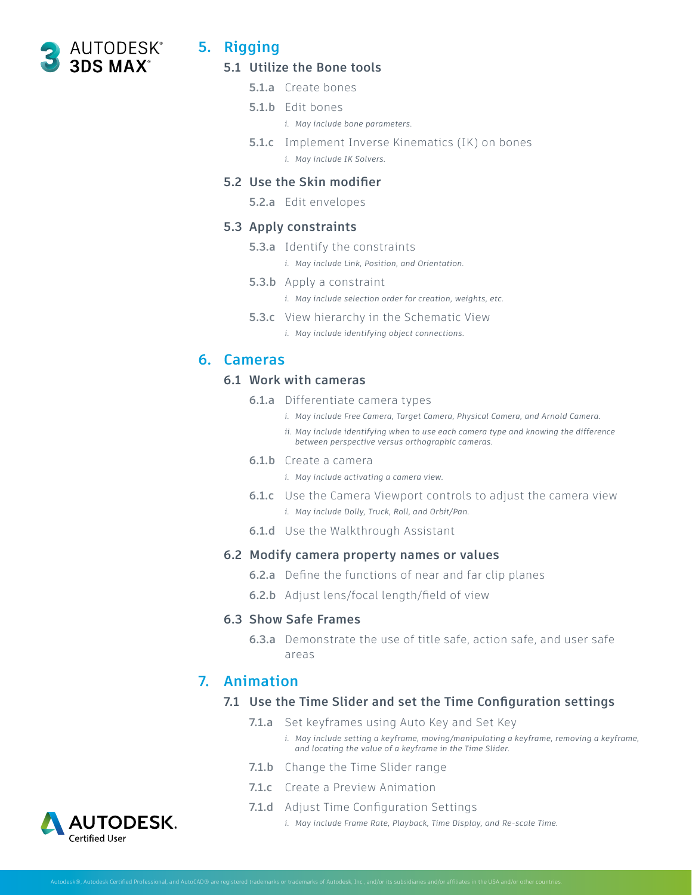

#### **5.1 Utilize the Bone tools**

- **5.1.a** Create bones
- **5.1.b** Edit bones
	- *i. May include bone parameters.*
- **5.1.c** Implement Inverse Kinematics (IK) on bones *i. May include IK Solvers.*

#### **5.2 Use the Skin modifier**

**5.2.a** Edit envelopes

#### **5.3 Apply constraints**

- **5.3.a** Identify the constraints
	- *i. May include Link, Position, and Orientation.*
- **5.3.b** Apply a constraint
	- *i. May include selection order for creation, weights, etc.*
- **5.3.c** View hierarchy in the Schematic View
	- *i. May include identifying object connections.*

#### **6. Cameras**

#### **6.1 Work with cameras**

- **6.1.a** Differentiate camera types
	- *i. May include Free Camera, Target Camera, Physical Camera, and Arnold Camera.*
	- *ii. May include identifying when to use each camera type and knowing the difference between perspective versus orthographic cameras.*

#### **6.1.b** Create a camera

- *i. May include activating a camera view.*
- **6.1.c** Use the Camera Viewport controls to adjust the camera view *i. May include Dolly, Truck, Roll, and Orbit/Pan.*
- **6.1.d** Use the Walkthrough Assistant

#### **6.2 Modify camera property names or values**

- **6.2.a** Define the functions of near and far clip planes
- **6.2.b** Adjust lens/focal length/field of view

#### **6.3 Show Safe Frames**

**6.3.a** Demonstrate the use of title safe, action safe, and user safe areas

#### **7. Animation**

#### **7.1 Use the Time Slider and set the Time Configuration settings**

- **7.1.a** Set keyframes using Auto Key and Set Key
	- *i. May include setting a keyframe, moving/manipulating a keyframe, removing a keyframe, and locating the value of a keyframe in the Time Slider.*
- **7.1.b** Change the Time Slider range
- **7.1.c** Create a Preview Animation
- **7.1.d** Adjust Time Configuration Settings
	- *i. May include Frame Rate, Playback, Time Display, and Re-scale Time.*